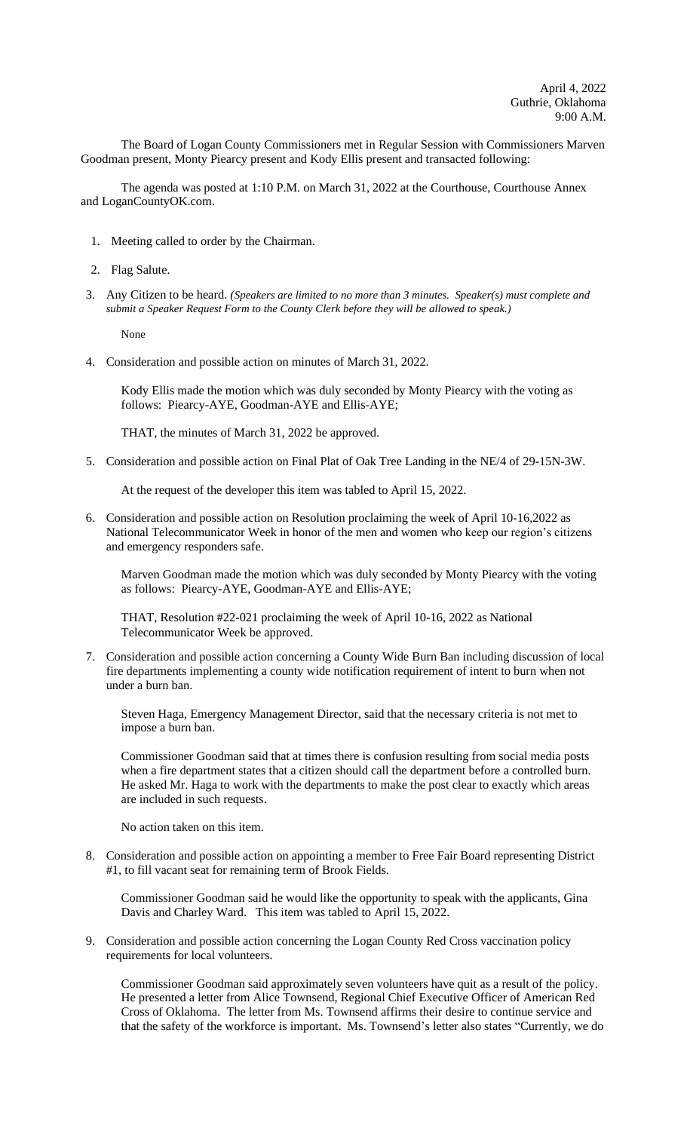The Board of Logan County Commissioners met in Regular Session with Commissioners Marven Goodman present, Monty Piearcy present and Kody Ellis present and transacted following:

The agenda was posted at 1:10 P.M. on March 31, 2022 at the Courthouse, Courthouse Annex and LoganCountyOK.com.

- 1. Meeting called to order by the Chairman.
- 2. Flag Salute.
- 3. Any Citizen to be heard. *(Speakers are limited to no more than 3 minutes. Speaker(s) must complete and submit a Speaker Request Form to the County Clerk before they will be allowed to speak.)*

None

4. Consideration and possible action on minutes of March 31, 2022.

Kody Ellis made the motion which was duly seconded by Monty Piearcy with the voting as follows: Piearcy-AYE, Goodman-AYE and Ellis-AYE;

THAT, the minutes of March 31, 2022 be approved.

5. Consideration and possible action on Final Plat of Oak Tree Landing in the NE/4 of 29-15N-3W.

At the request of the developer this item was tabled to April 15, 2022.

6. Consideration and possible action on Resolution proclaiming the week of April 10-16,2022 as National Telecommunicator Week in honor of the men and women who keep our region's citizens and emergency responders safe.

Marven Goodman made the motion which was duly seconded by Monty Piearcy with the voting as follows: Piearcy-AYE, Goodman-AYE and Ellis-AYE;

THAT, Resolution #22-021 proclaiming the week of April 10-16, 2022 as National Telecommunicator Week be approved.

7. Consideration and possible action concerning a County Wide Burn Ban including discussion of local fire departments implementing a county wide notification requirement of intent to burn when not under a burn ban.

Steven Haga, Emergency Management Director, said that the necessary criteria is not met to impose a burn ban.

Commissioner Goodman said that at times there is confusion resulting from social media posts when a fire department states that a citizen should call the department before a controlled burn. He asked Mr. Haga to work with the departments to make the post clear to exactly which areas are included in such requests.

No action taken on this item.

8. Consideration and possible action on appointing a member to Free Fair Board representing District #1, to fill vacant seat for remaining term of Brook Fields.

Commissioner Goodman said he would like the opportunity to speak with the applicants, Gina Davis and Charley Ward. This item was tabled to April 15, 2022.

9. Consideration and possible action concerning the Logan County Red Cross vaccination policy requirements for local volunteers.

Commissioner Goodman said approximately seven volunteers have quit as a result of the policy. He presented a letter from Alice Townsend, Regional Chief Executive Officer of American Red Cross of Oklahoma. The letter from Ms. Townsend affirms their desire to continue service and that the safety of the workforce is important. Ms. Townsend's letter also states "Currently, we do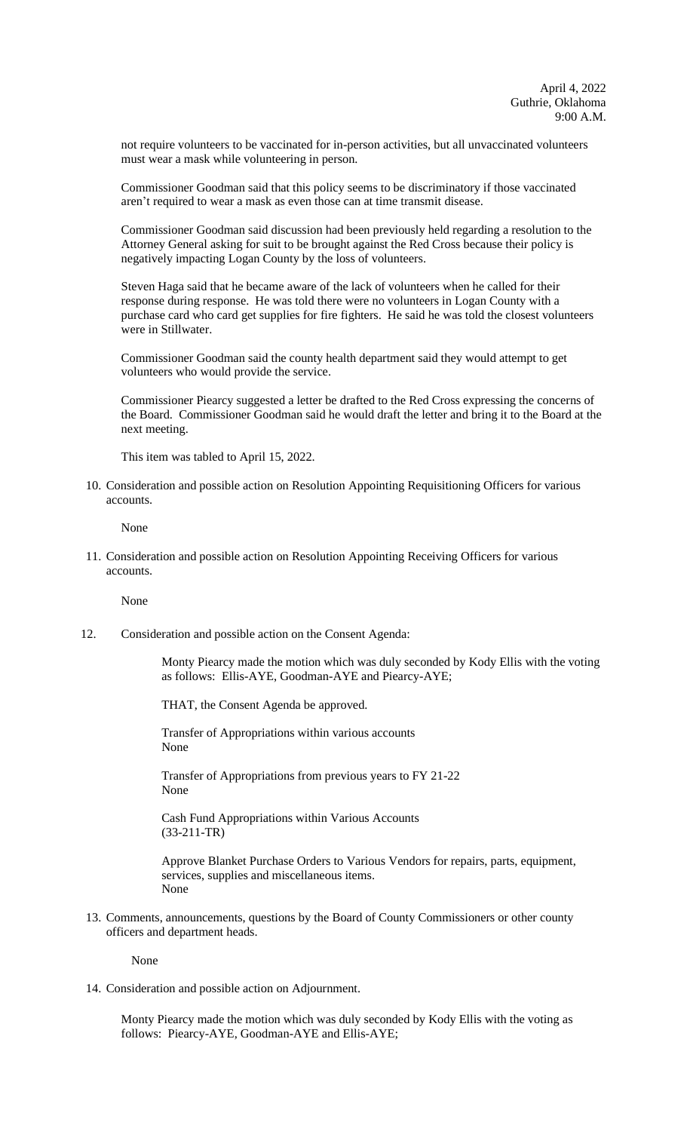not require volunteers to be vaccinated for in-person activities, but all unvaccinated volunteers must wear a mask while volunteering in person.

Commissioner Goodman said that this policy seems to be discriminatory if those vaccinated aren't required to wear a mask as even those can at time transmit disease.

Commissioner Goodman said discussion had been previously held regarding a resolution to the Attorney General asking for suit to be brought against the Red Cross because their policy is negatively impacting Logan County by the loss of volunteers.

Steven Haga said that he became aware of the lack of volunteers when he called for their response during response. He was told there were no volunteers in Logan County with a purchase card who card get supplies for fire fighters. He said he was told the closest volunteers were in Stillwater.

Commissioner Goodman said the county health department said they would attempt to get volunteers who would provide the service.

Commissioner Piearcy suggested a letter be drafted to the Red Cross expressing the concerns of the Board. Commissioner Goodman said he would draft the letter and bring it to the Board at the next meeting.

This item was tabled to April 15, 2022.

10. Consideration and possible action on Resolution Appointing Requisitioning Officers for various accounts.

None

11. Consideration and possible action on Resolution Appointing Receiving Officers for various accounts.

None

12. Consideration and possible action on the Consent Agenda:

Monty Piearcy made the motion which was duly seconded by Kody Ellis with the voting as follows: Ellis-AYE, Goodman-AYE and Piearcy-AYE;

THAT, the Consent Agenda be approved.

Transfer of Appropriations within various accounts None

Transfer of Appropriations from previous years to FY 21-22 None

Cash Fund Appropriations within Various Accounts (33-211-TR)

Approve Blanket Purchase Orders to Various Vendors for repairs, parts, equipment, services, supplies and miscellaneous items. None

13. Comments, announcements, questions by the Board of County Commissioners or other county officers and department heads.

None

14. Consideration and possible action on Adjournment.

Monty Piearcy made the motion which was duly seconded by Kody Ellis with the voting as follows: Piearcy-AYE, Goodman-AYE and Ellis-AYE;